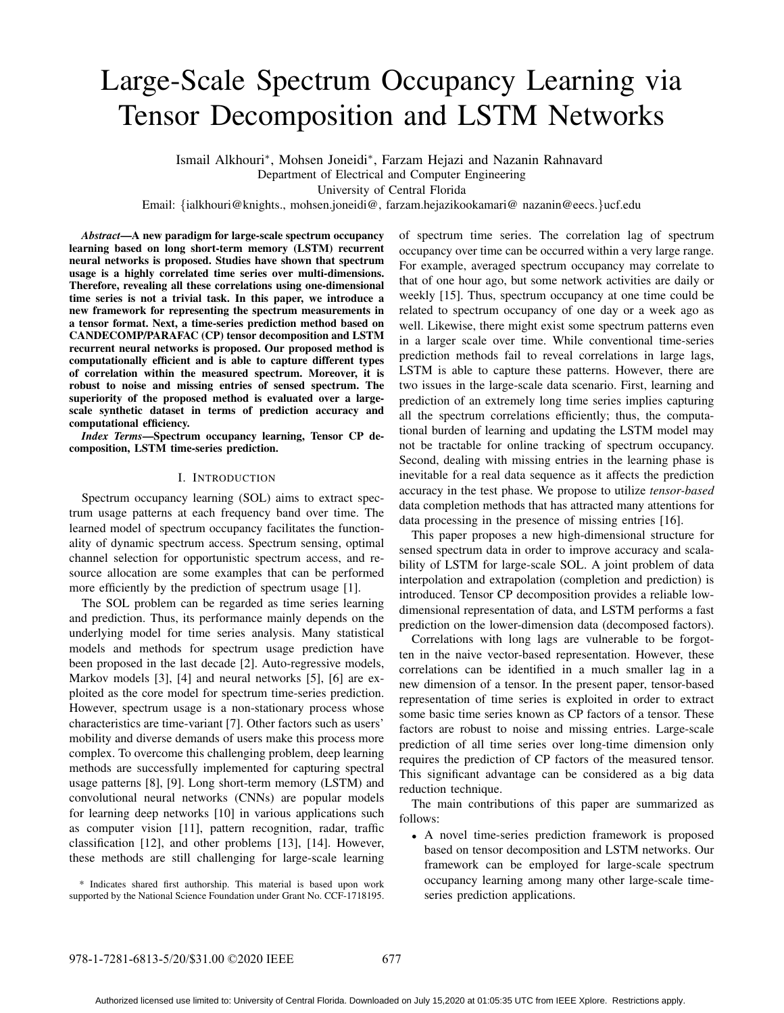# Large-Scale Spectrum Occupancy Learning via Tensor Decomposition and LSTM Networks

Ismail Alkhouri∗, Mohsen Joneidi∗, Farzam Hejazi and Nazanin Rahnavard

Department of Electrical and Computer Engineering

University of Central Florida

Email: {ialkhouri@knights., mohsen.joneidi@, farzam.hejazikookamari@ nazanin@eecs.}ucf.edu

*Abstract*—A new paradigm for large-scale spectrum occupancy learning based on long short-term memory (LSTM) recurrent neural networks is proposed. Studies have shown that spectrum usage is a highly correlated time series over multi-dimensions. Therefore, revealing all these correlations using one-dimensional time series is not a trivial task. In this paper, we introduce a new framework for representing the spectrum measurements in a tensor format. Next, a time-series prediction method based on CANDECOMP/PARAFAC (CP) tensor decomposition and LSTM recurrent neural networks is proposed. Our proposed method is computationally efficient and is able to capture different types of correlation within the measured spectrum. Moreover, it is robust to noise and missing entries of sensed spectrum. The superiority of the proposed method is evaluated over a largescale synthetic dataset in terms of prediction accuracy and computational efficiency.

*Index Terms*—Spectrum occupancy learning, Tensor CP decomposition, LSTM time-series prediction.

# I. INTRODUCTION

Spectrum occupancy learning (SOL) aims to extract spectrum usage patterns at each frequency band over time. The learned model of spectrum occupancy facilitates the functionality of dynamic spectrum access. Spectrum sensing, optimal channel selection for opportunistic spectrum access, and resource allocation are some examples that can be performed more efficiently by the prediction of spectrum usage [1].

The SOL problem can be regarded as time series learning and prediction. Thus, its performance mainly depends on the underlying model for time series analysis. Many statistical models and methods for spectrum usage prediction have been proposed in the last decade [2]. Auto-regressive models, Markov models [3], [4] and neural networks [5], [6] are exploited as the core model for spectrum time-series prediction. However, spectrum usage is a non-stationary process whose characteristics are time-variant [7]. Other factors such as users' mobility and diverse demands of users make this process more complex. To overcome this challenging problem, deep learning methods are successfully implemented for capturing spectral usage patterns [8], [9]. Long short-term memory (LSTM) and convolutional neural networks (CNNs) are popular models for learning deep networks [10] in various applications such as computer vision [11], pattern recognition, radar, traffic classification [12], and other problems [13], [14]. However, these methods are still challenging for large-scale learning

\* Indicates shared first authorship. This material is based upon work supported by the National Science Foundation under Grant No. CCF-1718195. of spectrum time series. The correlation lag of spectrum occupancy over time can be occurred within a very large range. For example, averaged spectrum occupancy may correlate to that of one hour ago, but some network activities are daily or weekly [15]. Thus, spectrum occupancy at one time could be related to spectrum occupancy of one day or a week ago as well. Likewise, there might exist some spectrum patterns even in a larger scale over time. While conventional time-series prediction methods fail to reveal correlations in large lags, LSTM is able to capture these patterns. However, there are two issues in the large-scale data scenario. First, learning and prediction of an extremely long time series implies capturing all the spectrum correlations efficiently; thus, the computational burden of learning and updating the LSTM model may not be tractable for online tracking of spectrum occupancy. Second, dealing with missing entries in the learning phase is inevitable for a real data sequence as it affects the prediction accuracy in the test phase. We propose to utilize *tensor-based* data completion methods that has attracted many attentions for data processing in the presence of missing entries [16].

This paper proposes a new high-dimensional structure for sensed spectrum data in order to improve accuracy and scalability of LSTM for large-scale SOL. A joint problem of data interpolation and extrapolation (completion and prediction) is introduced. Tensor CP decomposition provides a reliable lowdimensional representation of data, and LSTM performs a fast prediction on the lower-dimension data (decomposed factors).

Correlations with long lags are vulnerable to be forgotten in the naive vector-based representation. However, these correlations can be identified in a much smaller lag in a new dimension of a tensor. In the present paper, tensor-based representation of time series is exploited in order to extract some basic time series known as CP factors of a tensor. These factors are robust to noise and missing entries. Large-scale prediction of all time series over long-time dimension only requires the prediction of CP factors of the measured tensor. This significant advantage can be considered as a big data reduction technique.

The main contributions of this paper are summarized as follows:

• A novel time-series prediction framework is proposed based on tensor decomposition and LSTM networks. Our framework can be employed for large-scale spectrum occupancy learning among many other large-scale timeseries prediction applications.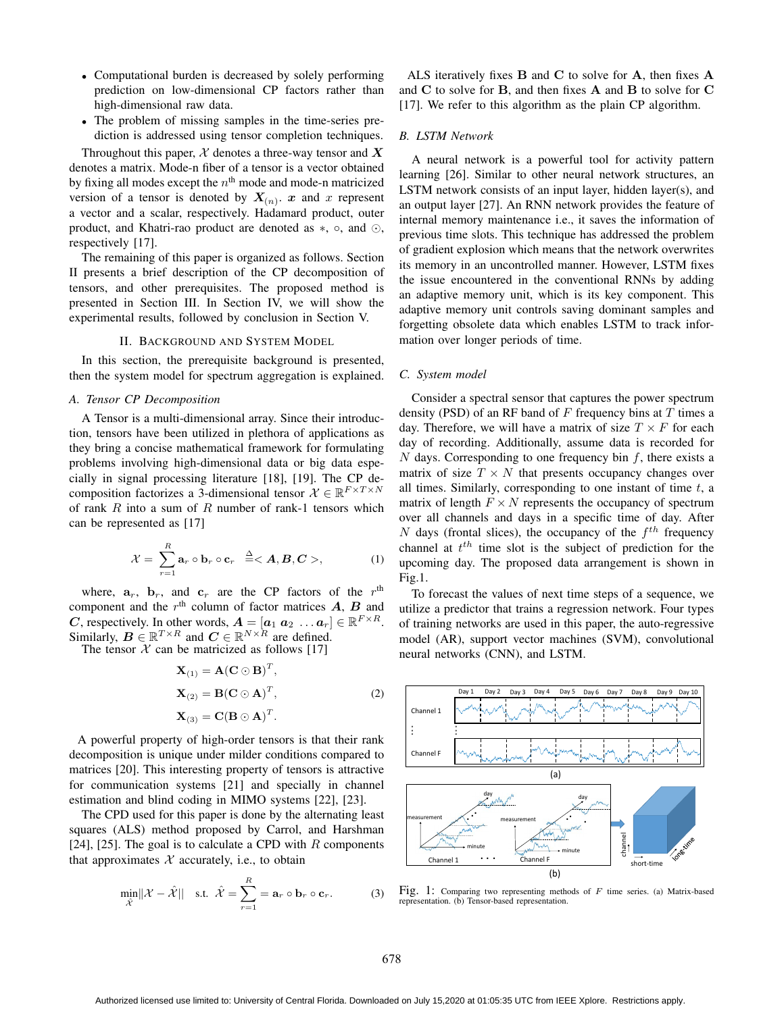- Computational burden is decreased by solely performing prediction on low-dimensional CP factors rather than high-dimensional raw data.
- The problem of missing samples in the time-series prediction is addressed using tensor completion techniques.

Throughout this paper,  $X$  denotes a three-way tensor and  $X$ denotes a matrix. Mode-n fiber of a tensor is a vector obtained by fixing all modes except the  $n<sup>th</sup>$  mode and mode-n matricized version of a tensor is denoted by  $X_{(n)}$ . *x* and *x* represent a vector and a scalar, respectively. Hadamard product, outer product, and Khatri-rao product are denoted as  $\ast$ ,  $\circ$ , and  $\odot$ , respectively [17].

The remaining of this paper is organized as follows. Section II presents a brief description of the CP decomposition of tensors, and other prerequisites. The proposed method is presented in Section III. In Section IV, we will show the experimental results, followed by conclusion in Section V.

### II. BACKGROUND AND SYSTEM MODEL

In this section, the prerequisite background is presented, then the system model for spectrum aggregation is explained.

# *A. Tensor CP Decomposition*

A Tensor is a multi-dimensional array. Since their introduction, tensors have been utilized in plethora of applications as they bring a concise mathematical framework for formulating problems involving high-dimensional data or big data especially in signal processing literature [18], [19]. The CP decomposition factorizes a 3-dimensional tensor  $\mathcal{X} \in \mathbb{R}^{F \times T \times N}$ of rank  $R$  into a sum of  $R$  number of rank-1 tensors which can be represented as [17]

$$
\mathcal{X} = \sum_{r=1}^{R} \mathbf{a}_r \circ \mathbf{b}_r \circ \mathbf{c}_r \stackrel{\Delta}{=} \langle A, B, C \rangle, \tag{1}
$$

where,  $a_r$ ,  $b_r$ , and  $c_r$  are the CP factors of the r<sup>th</sup> component and the  $r<sup>th</sup>$  column of factor matrices  $A$ ,  $B$  and *C*, respectively. In other words,  $A = [a_1 \ a_2 \ ... \ a_r] \in \mathbb{R}^{F \times R}$ . Similarly,  $B \in \mathbb{R}^{T \times R}$  and  $C \in \mathbb{R}^{N \times R}$  are defined.

The tensor  $X$  can be matricized as follows [17]

$$
\mathbf{X}_{(1)} = \mathbf{A} (\mathbf{C} \odot \mathbf{B})^T,
$$
  
\n
$$
\mathbf{X}_{(2)} = \mathbf{B} (\mathbf{C} \odot \mathbf{A})^T,
$$
  
\n
$$
\mathbf{X}_{(3)} = \mathbf{C} (\mathbf{B} \odot \mathbf{A})^T.
$$
\n(2)

A powerful property of high-order tensors is that their rank decomposition is unique under milder conditions compared to matrices [20]. This interesting property of tensors is attractive for communication systems [21] and specially in channel estimation and blind coding in MIMO systems [22], [23].

The CPD used for this paper is done by the alternating least squares (ALS) method proposed by Carrol, and Harshman [24], [25]. The goal is to calculate a CPD with  $R$  components that approximates  $X$  accurately, i.e., to obtain

$$
\min_{\hat{\mathcal{X}}} ||\mathcal{X} - \hat{\mathcal{X}}|| \quad \text{s.t.} \quad \hat{\mathcal{X}} = \sum_{r=1}^{R} = \mathbf{a}_r \circ \mathbf{b}_r \circ \mathbf{c}_r. \tag{3}
$$

ALS iteratively fixes **B** and **C** to solve for **A**, then fixes **A** and **C** to solve for **B**, and then fixes **A** and **B** to solve for **C** [17]. We refer to this algorithm as the plain CP algorithm.

### *B. LSTM Network*

A neural network is a powerful tool for activity pattern learning [26]. Similar to other neural network structures, an LSTM network consists of an input layer, hidden layer(s), and an output layer [27]. An RNN network provides the feature of internal memory maintenance i.e., it saves the information of previous time slots. This technique has addressed the problem of gradient explosion which means that the network overwrites its memory in an uncontrolled manner. However, LSTM fixes the issue encountered in the conventional RNNs by adding an adaptive memory unit, which is its key component. This adaptive memory unit controls saving dominant samples and forgetting obsolete data which enables LSTM to track information over longer periods of time.

#### *C. System model*

Consider a spectral sensor that captures the power spectrum density (PSD) of an RF band of  $F$  frequency bins at  $T$  times a day. Therefore, we will have a matrix of size  $T \times F$  for each day of recording. Additionally, assume data is recorded for N days. Corresponding to one frequency bin  $f$ , there exists a matrix of size  $T \times N$  that presents occupancy changes over all times. Similarly, corresponding to one instant of time  $t$ , a matrix of length  $F \times N$  represents the occupancy of spectrum over all channels and days in a specific time of day. After N days (frontal slices), the occupancy of the  $f<sup>th</sup>$  frequency channel at  $t^{th}$  time slot is the subject of prediction for the upcoming day. The proposed data arrangement is shown in Fig.1.

To forecast the values of next time steps of a sequence, we utilize a predictor that trains a regression network. Four types of training networks are used in this paper, the auto-regressive model (AR), support vector machines (SVM), convolutional neural networks (CNN), and LSTM.



Fig. 1: Comparing two representing methods of F time series. (a) Matrix-based representation. (b) Tensor-based representation.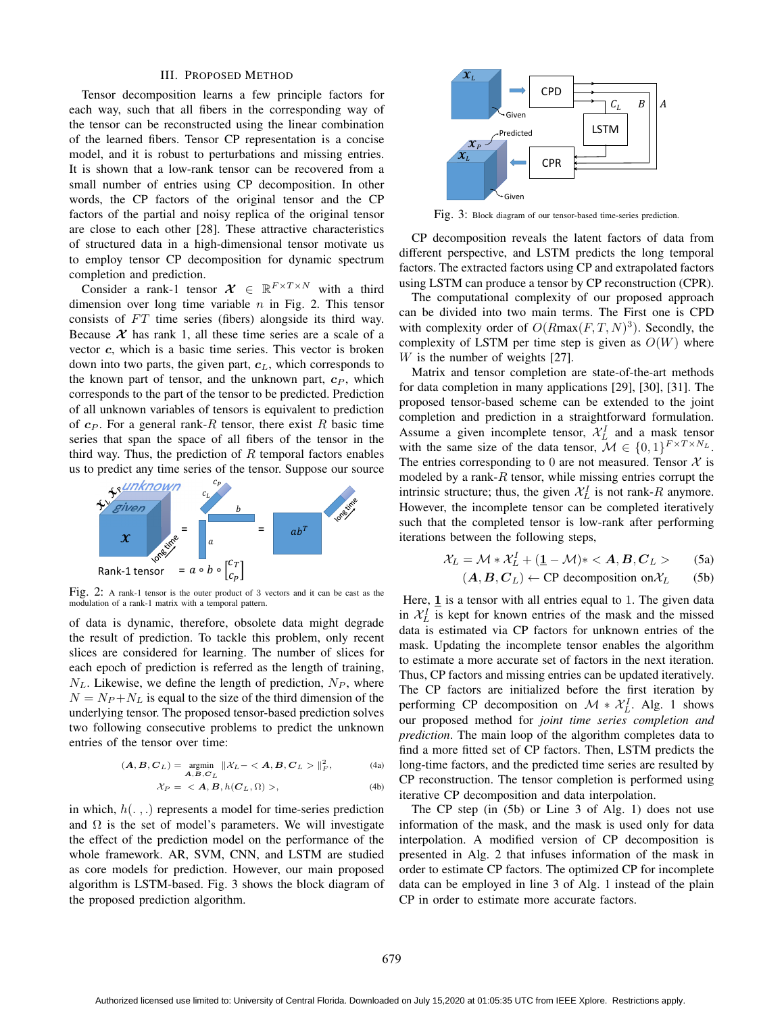#### III. PROPOSED METHOD

Tensor decomposition learns a few principle factors for each way, such that all fibers in the corresponding way of the tensor can be reconstructed using the linear combination of the learned fibers. Tensor CP representation is a concise model, and it is robust to perturbations and missing entries. It is shown that a low-rank tensor can be recovered from a small number of entries using CP decomposition. In other words, the CP factors of the original tensor and the CP factors of the partial and noisy replica of the original tensor are close to each other [28]. These attractive characteristics of structured data in a high-dimensional tensor motivate us to employ tensor CP decomposition for dynamic spectrum completion and prediction.

Consider a rank-1 tensor  $\mathcal{X} \in \mathbb{R}^{F \times T \times N}$  with a third dimension over long time variable  $n$  in Fig. 2. This tensor consists of  $FT$  time series (fibers) alongside its third way. Because  $X$  has rank 1, all these time series are a scale of a vector *c*, which is a basic time series. This vector is broken down into two parts, the given part,  $c<sub>L</sub>$ , which corresponds to the known part of tensor, and the unknown part,  $c_P$ , which corresponds to the part of the tensor to be predicted. Prediction of all unknown variables of tensors is equivalent to prediction of  $c_P$ . For a general rank-R tensor, there exist R basic time series that span the space of all fibers of the tensor in the third way. Thus, the prediction of  $R$  temporal factors enables us to predict any time series of the tensor. Suppose our source



Fig. 2: A rank-1 tensor is the outer product of <sup>3</sup> vectors and it can be cast as the modulation of a rank-1 matrix with a temporal pattern.

of data is dynamic, therefore, obsolete data might degrade the result of prediction. To tackle this problem, only recent slices are considered for learning. The number of slices for each epoch of prediction is referred as the length of training,  $N_L$ . Likewise, we define the length of prediction,  $N_P$ , where  $N = N_P + N_L$  is equal to the size of the third dimension of the underlying tensor. The proposed tensor-based prediction solves two following consecutive problems to predict the unknown entries of the tensor over time:

$$
(\mathbf{A}, \mathbf{B}, \mathbf{C}_L) = \underset{\mathbf{A}, \mathbf{B}, \mathbf{C}_L}{\text{argmin}} \|\mathcal{X}_L - \langle \mathbf{A}, \mathbf{B}, \mathbf{C}_L \rangle\|_F^2, \tag{4a}
$$

$$
\mathcal{X}_P = \langle \mathbf{A}, \mathbf{B}, h(\mathbf{C}_L, \Omega) \rangle, \tag{4b}
$$

in which,  $h(.,.)$  represents a model for time-series prediction and  $\Omega$  is the set of model's parameters. We will investigate the effect of the prediction model on the performance of the whole framework. AR, SVM, CNN, and LSTM are studied as core models for prediction. However, our main proposed algorithm is LSTM-based. Fig. 3 shows the block diagram of the proposed prediction algorithm.



Fig. 3: Block diagram of our tensor-based time-series prediction.

CP decomposition reveals the latent factors of data from different perspective, and LSTM predicts the long temporal factors. The extracted factors using CP and extrapolated factors using LSTM can produce a tensor by CP reconstruction (CPR).

The computational complexity of our proposed approach can be divided into two main terms. The First one is CPD with complexity order of  $O(Rmax(F,T,N)^3)$ . Secondly, the complexity of LSTM per time step is given as  $O(W)$  where W is the number of weights [27].

Matrix and tensor completion are state-of-the-art methods for data completion in many applications [29], [30], [31]. The proposed tensor-based scheme can be extended to the joint completion and prediction in a straightforward formulation. Assume a given incomplete tensor,  $\mathcal{X}_L^I$  and a mask tensor with the same size of the data tensor,  $\mathcal{M} \in \{0, 1\}^{F \times T \times N_L}$ . The entries corresponding to 0 are not measured. Tensor  $X$  is modeled by a rank- $R$  tensor, while missing entries corrupt the intrinsic structure; thus, the given  $\mathcal{X}_L^I$  is not rank-R anymore. However, the incomplete tensor can be completed iteratively such that the completed tensor is low-rank after performing iterations between the following steps,

$$
\mathcal{X}_L = \mathcal{M} * \mathcal{X}_L^I + (\underline{\mathbf{1}} - \mathcal{M}) * \langle A, B, C_L \rangle
$$
 (5a)

$$
(A, B, C_L) \leftarrow
$$
 CP decomposition on  $\mathcal{X}_L$  (5b)

Here, **1** is a tensor with all entries equal to 1. The given data in  $X_L^I$  is kept for known entries of the mask and the missed data is estimated via CP factors for unknown entries of the mask. Updating the incomplete tensor enables the algorithm to estimate a more accurate set of factors in the next iteration. Thus, CP factors and missing entries can be updated iteratively. The CP factors are initialized before the first iteration by performing CP decomposition on  $\mathcal{M} * \mathcal{X}_L^I$ . Alg. 1 shows our proposed method for *joint time series completion and prediction*. The main loop of the algorithm completes data to find a more fitted set of CP factors. Then, LSTM predicts the long-time factors, and the predicted time series are resulted by CP reconstruction. The tensor completion is performed using iterative CP decomposition and data interpolation.

The CP step (in (5b) or Line 3 of Alg. 1) does not use information of the mask, and the mask is used only for data interpolation. A modified version of CP decomposition is presented in Alg. 2 that infuses information of the mask in order to estimate CP factors. The optimized CP for incomplete data can be employed in line 3 of Alg. 1 instead of the plain CP in order to estimate more accurate factors.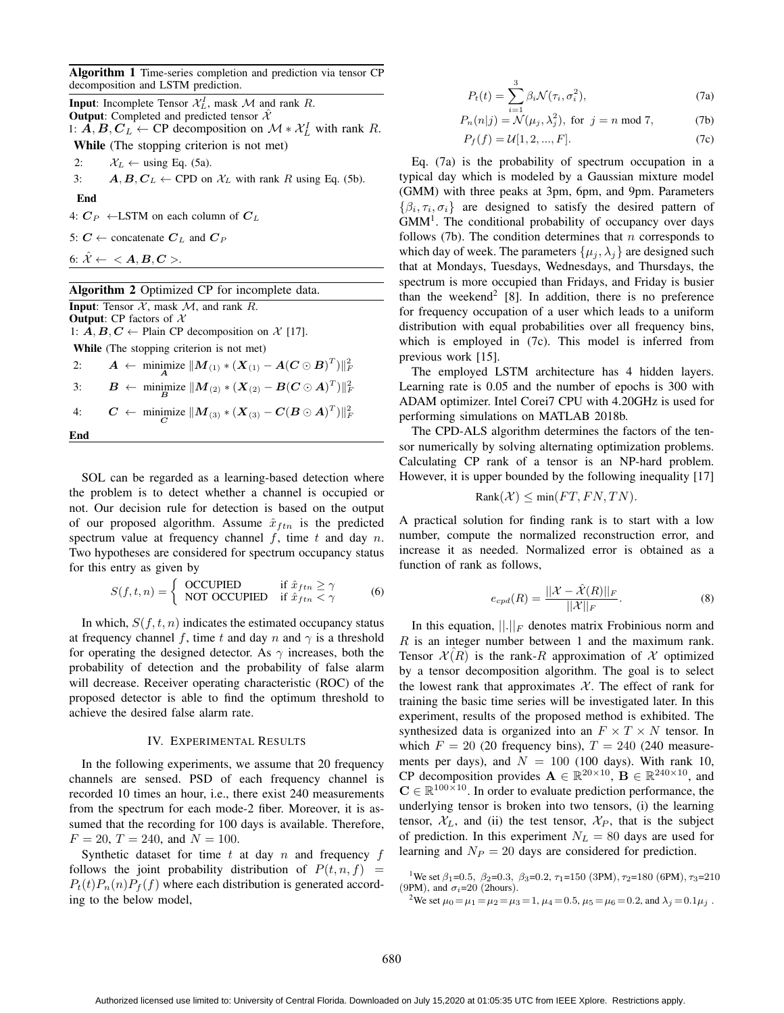Algorithm 1 Time-series completion and prediction via tensor CP decomposition and LSTM prediction.

**Input:** Incomplete Tensor  $\mathcal{X}_L^I$ , mask  $\mathcal M$  and rank  $R$ . **Output:** Completed and predicted tensor  $\hat{\mathcal{X}}$ 1:  $\hat{A}, B, C_L$  ← CP decomposition on  $\mathcal{M} * \mathcal{X}_L^I$  with rank R.

While (The stopping criterion is not met)

2:  $\mathcal{X}_L \leftarrow \text{using Eq. (5a)}$ .

3:  $A, B, C_L \leftarrow \text{CPD}$  on  $\mathcal{X}_L$  with rank R using Eq. (5b).

End

End

4:  $C_P$  ←LSTM on each column of  $C_L$ 

5:  $C \leftarrow$  concatenate  $C_L$  and  $C_P$ 

6:  $\hat{\mathcal{X}} \leftarrow \langle A, B, C \rangle$ .

## Algorithm 2 Optimized CP for incomplete data.

**Input:** Tensor  $\mathcal{X}$ , mask  $\mathcal{M}$ , and rank  $\overline{R}$ . **Output:** CP factors of  $X$ 

1:  $\mathbf{\hat{A}}$ ,  $\mathbf{B}$ ,  $\mathbf{C}$  ← Plain CP decomposition on  $\mathcal{X}$  [17].

While (The stopping criterion is not met)

2: *A* ← minimize  $||M_{(1)} * (X_{(1)} - A(C \odot B)^T)||_F^2$ 3: *B* ← minimize  $||M_{(2)} * (X_{(2)} - B(C \odot A)^T)||_F^2$ 4: *C* ← minimize  $||M_{(3)} * (X_{(3)} - C(B \odot A)^T)||_F^2$ 

SOL can be regarded as a learning-based detection where the problem is to detect whether a channel is occupied or not. Our decision rule for detection is based on the output of our proposed algorithm. Assume  $\hat{x}_{ftn}$  is the predicted spectrum value at frequency channel  $f$ , time  $t$  and day  $n$ . Two hypotheses are considered for spectrum occupancy status for this entry as given by

$$
S(f, t, n) = \begin{cases} \text{OCCUPIED} & \text{if } \hat{x}_{ftn} \ge \gamma \\ \text{NOT OCCUPIED} & \text{if } \hat{x}_{ftn} < \gamma \end{cases} \tag{6}
$$

In which,  $S(f, t, n)$  indicates the estimated occupancy status at frequency channel f, time t and day n and  $\gamma$  is a threshold for operating the designed detector. As  $\gamma$  increases, both the probability of detection and the probability of false alarm will decrease. Receiver operating characteristic (ROC) of the proposed detector is able to find the optimum threshold to achieve the desired false alarm rate.

### IV. EXPERIMENTAL RESULTS

In the following experiments, we assume that 20 frequency channels are sensed. PSD of each frequency channel is recorded 10 times an hour, i.e., there exist 240 measurements from the spectrum for each mode-2 fiber. Moreover, it is assumed that the recording for 100 days is available. Therefore,  $F = 20$ ,  $T = 240$ , and  $N = 100$ .

Synthetic dataset for time  $t$  at day  $n$  and frequency  $f$ follows the joint probability distribution of  $P(t, n, f)$  =  $P_t(t)P_n(n)P_f(f)$  where each distribution is generated according to the below model,

$$
P_t(t) = \sum_{i=1}^3 \beta_i \mathcal{N}(\tau_i, \sigma_i^2), \tag{7a}
$$

$$
P_n(n|j) = \mathcal{N}(\mu_j, \lambda_j^2)
$$
, for  $j = n \text{ mod } 7$ , (7b)

$$
P_f(f) = \mathcal{U}[1, 2, ..., F].
$$
 (7c)

Eq. (7a) is the probability of spectrum occupation in a typical day which is modeled by a Gaussian mixture model (GMM) with three peaks at 3pm, 6pm, and 9pm. Parameters  $\{\beta_i, \tau_i, \sigma_i\}$  are designed to satisfy the desired pattern of  $GMM<sup>1</sup>$ . The conditional probability of occupancy over days follows (7b). The condition determines that  $n$  corresponds to which day of week. The parameters  $\{\mu_i, \lambda_i\}$  are designed such that at Mondays, Tuesdays, Wednesdays, and Thursdays, the spectrum is more occupied than Fridays, and Friday is busier than the weekend<sup>2</sup> [8]. In addition, there is no preference for frequency occupation of a user which leads to a uniform distribution with equal probabilities over all frequency bins, which is employed in (7c). This model is inferred from previous work [15].

The employed LSTM architecture has 4 hidden layers. Learning rate is 0.05 and the number of epochs is 300 with ADAM optimizer. Intel Corei7 CPU with 4.20GHz is used for performing simulations on MATLAB 2018b.

The CPD-ALS algorithm determines the factors of the tensor numerically by solving alternating optimization problems. Calculating CP rank of a tensor is an NP-hard problem. However, it is upper bounded by the following inequality [17]

$$
Rank(\mathcal{X}) \le \min(FT, FN, TN).
$$

A practical solution for finding rank is to start with a low number, compute the normalized reconstruction error, and increase it as needed. Normalized error is obtained as a function of rank as follows,

$$
e_{cpd}(R) = \frac{||\mathcal{X} - \hat{\mathcal{X}}(R)||_F}{||\mathcal{X}||_F}.
$$
\n(8)

In this equation,  $\left\| . \right\|_F$  denotes matrix Frobinious norm and R is an integer number between 1 and the maximum rank. Tensor  $\mathcal{X}(R)$  is the rank-R approximation of X optimized by a tensor decomposition algorithm. The goal is to select the lowest rank that approximates  $X$ . The effect of rank for training the basic time series will be investigated later. In this experiment, results of the proposed method is exhibited. The synthesized data is organized into an  $F \times T \times N$  tensor. In which  $F = 20$  (20 frequency bins),  $T = 240$  (240 measurements per days), and  $N = 100$  (100 days). With rank 10, CP decomposition provides  $\mathbf{A} \in \mathbb{R}^{20 \times 10}$ ,  $\mathbf{B} \in \mathbb{R}^{240 \times 10}$ , and  $\mathbf{C} \in \mathbb{R}^{100 \times 10}$ . In order to evaluate prediction performance, the underlying tensor is broken into two tensors, (i) the learning tensor,  $X_L$ , and (ii) the test tensor,  $X_P$ , that is the subject of prediction. In this experiment  $N_L = 80$  days are used for learning and  $N_P = 20$  days are considered for prediction.

<sup>1</sup>We set  $\beta_1$ =0.5,  $\beta_2$ =0.3,  $\beta_3$ =0.2,  $\tau_1$ =150 (3PM),  $\tau_2$ =180 (6PM),  $\tau_3$ =210 (9PM), and  $\sigma_i$ =20 (2hours).

<sup>2</sup>We set  $\mu_0 = \mu_1 = \mu_2 = \mu_3 = 1$ ,  $\mu_4 = 0.5$ ,  $\mu_5 = \mu_6 = 0.2$ , and  $\lambda_j = 0.1\mu_j$ .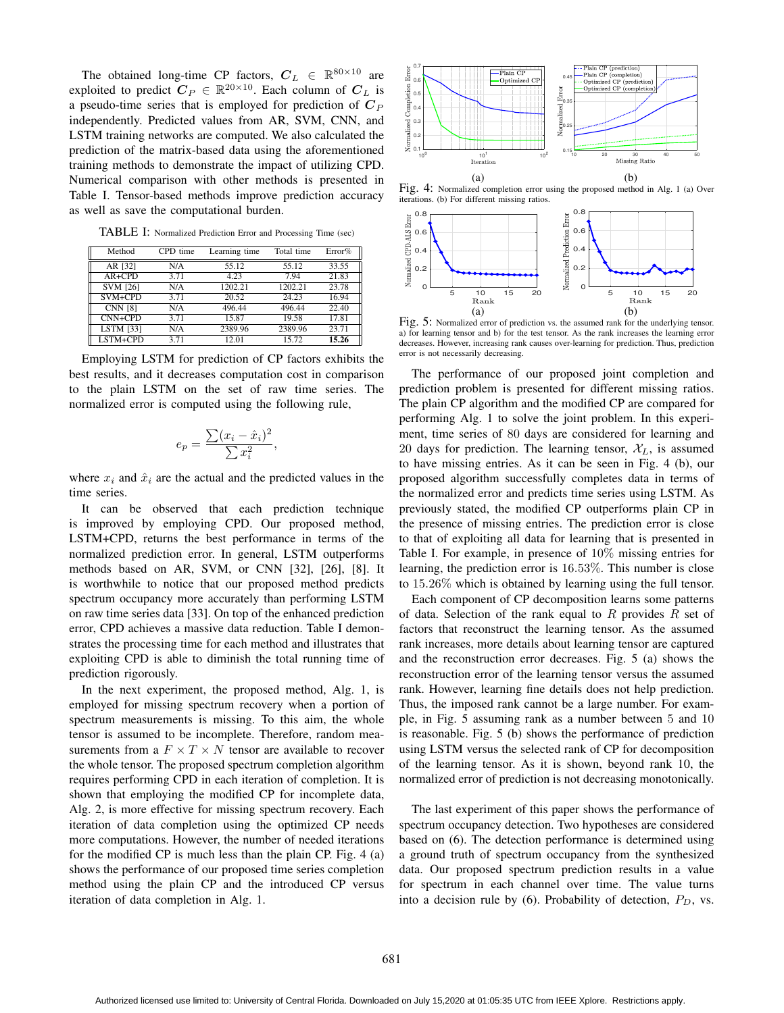The obtained long-time CP factors,  $C_L \in \mathbb{R}^{80 \times 10}$  are exploited to predict  $\mathbf{C}_P \in \mathbb{R}^{20 \times 10}$ . Each column of  $\mathbf{C}_L$  is a pseudo-time series that is employed for prediction of  $C_P$ independently. Predicted values from AR, SVM, CNN, and LSTM training networks are computed. We also calculated the prediction of the matrix-based data using the aforementioned training methods to demonstrate the impact of utilizing CPD. Numerical comparison with other methods is presented in Table I. Tensor-based methods improve prediction accuracy as well as save the computational burden.

TABLE I: Normalized Prediction Error and Processing Time (sec)

| Method           | CPD time | Learning time | Total time | Error% |
|------------------|----------|---------------|------------|--------|
| AR [32]          | N/A      | 55.12         | 55.12      | 33.55  |
| $AR + CPD$       | 3.71     | 4.23          | 7.94       | 21.83  |
| <b>SVM [26]</b>  | N/A      | 1202.21       | 1202.21    | 23.78  |
| SVM+CPD          | 3.71     | 20.52         | 24.23      | 16.94  |
| <b>CNN [8]</b>   | N/A      | 496.44        | 496.44     | 22.40  |
| $CNN+CPD$        | 3.71     | 15.87         | 19.58      | 17.81  |
| <b>LSTM [33]</b> | N/A      | 2389.96       | 2389.96    | 23.71  |
| LSTM+CPD         | 3.71     | 12.01         | 15.72      | 15.26  |

Employing LSTM for prediction of CP factors exhibits the best results, and it decreases computation cost in comparison to the plain LSTM on the set of raw time series. The normalized error is computed using the following rule,

$$
e_p = \frac{\sum (x_i - \hat{x}_i)^2}{\sum x_i^2},
$$

where  $x_i$  and  $\hat{x}_i$  are the actual and the predicted values in the time series.

It can be observed that each prediction technique is improved by employing CPD. Our proposed method, LSTM+CPD, returns the best performance in terms of the normalized prediction error. In general, LSTM outperforms methods based on AR, SVM, or CNN [32], [26], [8]. It is worthwhile to notice that our proposed method predicts spectrum occupancy more accurately than performing LSTM on raw time series data [33]. On top of the enhanced prediction error, CPD achieves a massive data reduction. Table I demonstrates the processing time for each method and illustrates that exploiting CPD is able to diminish the total running time of prediction rigorously.

In the next experiment, the proposed method, Alg. 1, is employed for missing spectrum recovery when a portion of spectrum measurements is missing. To this aim, the whole tensor is assumed to be incomplete. Therefore, random measurements from a  $F \times T \times N$  tensor are available to recover the whole tensor. The proposed spectrum completion algorithm requires performing CPD in each iteration of completion. It is shown that employing the modified CP for incomplete data, Alg. 2, is more effective for missing spectrum recovery. Each iteration of data completion using the optimized CP needs more computations. However, the number of needed iterations for the modified CP is much less than the plain CP. Fig. 4 (a) shows the performance of our proposed time series completion method using the plain CP and the introduced CP versus iteration of data completion in Alg. 1.



Fig. 4: Normalized completion error using the proposed method in Alg. 1 (a) Over iterations. (b) For different missing ratios.



Fig. 5: Normalized error of prediction vs. the assumed rank for the underlying tensor. a) for learning tensor and b) for the test tensor. As the rank increases the learning error decreases. However, increasing rank causes over-learning for prediction. Thus, prediction error is not necessarily decreasing.

The performance of our proposed joint completion and prediction problem is presented for different missing ratios. The plain CP algorithm and the modified CP are compared for performing Alg. 1 to solve the joint problem. In this experiment, time series of 80 days are considered for learning and 20 days for prediction. The learning tensor,  $\mathcal{X}_L$ , is assumed to have missing entries. As it can be seen in Fig. 4 (b), our proposed algorithm successfully completes data in terms of the normalized error and predicts time series using LSTM. As previously stated, the modified CP outperforms plain CP in the presence of missing entries. The prediction error is close to that of exploiting all data for learning that is presented in Table I. For example, in presence of 10% missing entries for learning, the prediction error is 16.53%. This number is close to 15.26% which is obtained by learning using the full tensor.

Each component of CP decomposition learns some patterns of data. Selection of the rank equal to R provides R set of factors that reconstruct the learning tensor. As the assumed rank increases, more details about learning tensor are captured and the reconstruction error decreases. Fig. 5 (a) shows the reconstruction error of the learning tensor versus the assumed rank. However, learning fine details does not help prediction. Thus, the imposed rank cannot be a large number. For example, in Fig. 5 assuming rank as a number between 5 and 10 is reasonable. Fig. 5 (b) shows the performance of prediction using LSTM versus the selected rank of CP for decomposition of the learning tensor. As it is shown, beyond rank 10, the normalized error of prediction is not decreasing monotonically.

The last experiment of this paper shows the performance of spectrum occupancy detection. Two hypotheses are considered based on (6). The detection performance is determined using a ground truth of spectrum occupancy from the synthesized data. Our proposed spectrum prediction results in a value for spectrum in each channel over time. The value turns into a decision rule by (6). Probability of detection,  $P_D$ , vs.